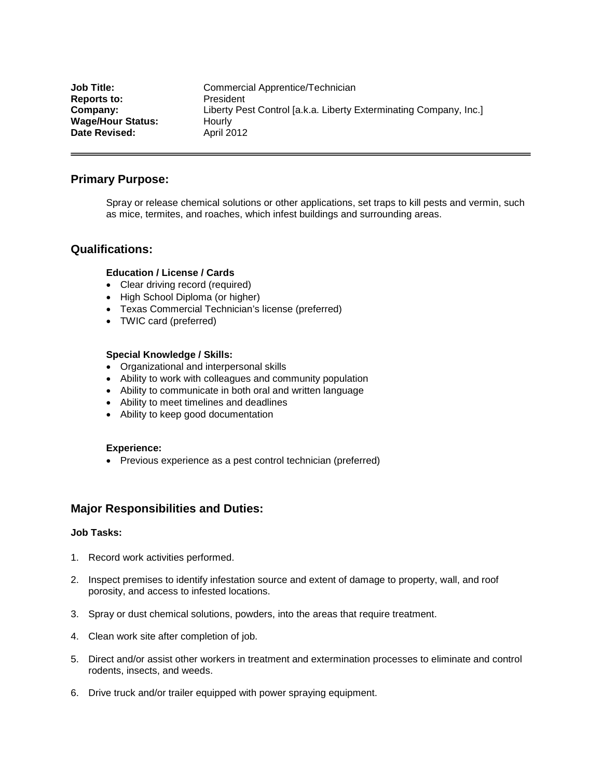| <b>Job Title:</b>        | Commercial Apprentice/Technician                                  |
|--------------------------|-------------------------------------------------------------------|
| <b>Reports to:</b>       | President                                                         |
| Company:                 | Liberty Pest Control [a.k.a. Liberty Exterminating Company, Inc.] |
| <b>Wage/Hour Status:</b> | Hourly                                                            |
| Date Revised:            | <b>April 2012</b>                                                 |

# **Primary Purpose:**

Spray or release chemical solutions or other applications, set traps to kill pests and vermin, such as mice, termites, and roaches, which infest buildings and surrounding areas.

## **Qualifications:**

### **Education / License / Cards**

- Clear driving record (required)
- High School Diploma (or higher)
- Texas Commercial Technician's license (preferred)
- TWIC card (preferred)

### **Special Knowledge / Skills:**

- Organizational and interpersonal skills
- Ability to work with colleagues and community population
- Ability to communicate in both oral and written language
- Ability to meet timelines and deadlines
- Ability to keep good documentation

#### **Experience:**

• Previous experience as a pest control technician (preferred)

# **Major Responsibilities and Duties:**

### **Job Tasks:**

- 1. Record work activities performed.
- 2. Inspect premises to identify infestation source and extent of damage to property, wall, and roof porosity, and access to infested locations.
- 3. Spray or dust chemical solutions, powders, into the areas that require treatment.
- 4. Clean work site after completion of job.
- 5. Direct and/or assist other workers in treatment and extermination processes to eliminate and control rodents, insects, and weeds.
- 6. Drive truck and/or trailer equipped with power spraying equipment.